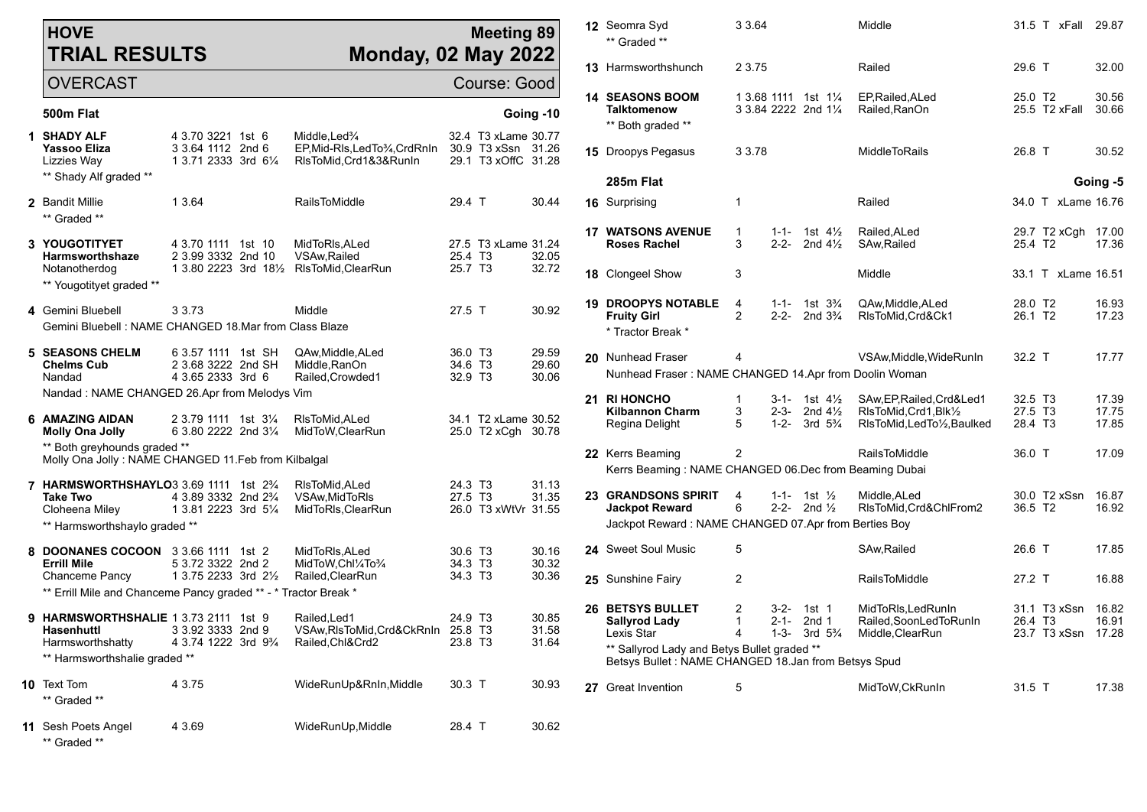|                                                       | <b>HOVE</b><br><b>TRIAL RESULTS</b>                                                 |                                                                       | <b>Monday, 02 May 2022</b>                                                                            | <b>Meeting 89</b>                                                |                         |  | 12 Seomra Syd<br>** Graded **                                                                        | 3 3 6 4           |                        |                                                         | Middle                                                                                |                                            | 31.5 T xFall       | 29.87          |
|-------------------------------------------------------|-------------------------------------------------------------------------------------|-----------------------------------------------------------------------|-------------------------------------------------------------------------------------------------------|------------------------------------------------------------------|-------------------------|--|------------------------------------------------------------------------------------------------------|-------------------|------------------------|---------------------------------------------------------|---------------------------------------------------------------------------------------|--------------------------------------------|--------------------|----------------|
|                                                       | <b>OVERCAST</b>                                                                     |                                                                       |                                                                                                       | Course: Good                                                     |                         |  | <b>13 Harmsworthshunch</b>                                                                           | 2 3.75            |                        |                                                         | Railed                                                                                | 29.6 T                                     |                    | 32.00          |
|                                                       | 500m Flat                                                                           |                                                                       |                                                                                                       |                                                                  | Going -10               |  | <b>14 SEASONS BOOM</b><br>Talktomenow<br>** Both graded **                                           |                   |                        | 1 3.68 1111 1st 11/4<br>3 3.84 2222 2nd 11/4            | EP, Railed, ALed<br>Railed.RanOn                                                      | 25.0 T <sub>2</sub>                        | 25.5 T2 xFall      | 30.56<br>30.66 |
|                                                       | 1 SHADY ALF<br><b>Yassoo Eliza</b><br>Lizzies Way                                   | 4 3.70 3221 1st 6<br>3 3.64 1112 2nd 6<br>1 3.71 2333 3rd 61/4        | Middle.Led <sup>3</sup> / <sub>4</sub><br>EP, Mid-RIs, Led To 3/4, Crd RnIn<br>RIsToMid, Crd1&3&RunIn | 32.4 T3 xLame 30.77<br>30.9 T3 xSsn 31.26<br>29.1 T3 xOffC 31.28 |                         |  | <b>15</b> Droopys Pegasus                                                                            | 3 3.78            |                        |                                                         | <b>MiddleToRails</b>                                                                  | 26.8 T                                     |                    | 30.52          |
|                                                       | ** Shady Alf graded **                                                              |                                                                       |                                                                                                       |                                                                  |                         |  | 285m Flat                                                                                            |                   |                        |                                                         |                                                                                       |                                            |                    | Going -5       |
|                                                       | 2 Bandit Millie<br>** Graded **                                                     | 1 3.64                                                                | RailsToMiddle                                                                                         | 29.4 T                                                           | 30.44                   |  | 16 Surprising                                                                                        | -1                |                        |                                                         | Railed                                                                                |                                            | 34.0 T xLame 16.76 |                |
|                                                       | 3 YOUGOTITYET<br>Harmsworthshaze                                                    | 4 3.70 1111 1st 10<br>2 3.99 3332 2nd 10                              | MidToRIs, ALed<br>VSAw, Railed                                                                        | 27.5 T3 xLame 31.24<br>25.4 T <sub>3</sub>                       | 32.05                   |  | <b>17 WATSONS AVENUE</b><br><b>Roses Rachel</b>                                                      | $\mathbf{1}$<br>3 | $1 - 1 -$<br>$2 - 2 -$ | 1st $4\frac{1}{2}$<br>2nd $4\frac{1}{2}$                | Railed, ALed<br>SAw, Railed                                                           | 25.4 T2                                    | 29.7 T2 xCgh 17.00 | 17.36          |
|                                                       | Notanotherdog<br>** Yougotityet graded **                                           | 1 3.80 2223 3rd 181/2 RIsToMid, ClearRun                              |                                                                                                       | 25.7 T <sub>3</sub>                                              | 32.72                   |  | 18 Clongeel Show                                                                                     | 3                 |                        |                                                         | Middle                                                                                |                                            | 33.1 T xLame 16.51 |                |
|                                                       | 4 Gemini Bluebell                                                                   | 3 3 7 3                                                               | Middle                                                                                                | 27.5 T                                                           | 30.92                   |  | <b>19 DROOPYS NOTABLE</b><br><b>Fruity Girl</b>                                                      | 4<br>2            | $1 - 1 -$<br>2-2-      | 1st 3 <sup>3</sup> / <sub>4</sub><br>2nd $3\frac{3}{4}$ | QAw, Middle, ALed<br>RIsToMid, Crd&Ck1                                                | 28.0 T2<br>26.1 T <sub>2</sub>             |                    | 16.93<br>17.23 |
| Gemini Bluebell: NAME CHANGED 18.Mar from Class Blaze |                                                                                     |                                                                       |                                                                                                       |                                                                  |                         |  | * Tractor Break *                                                                                    |                   |                        |                                                         |                                                                                       |                                            |                    |                |
|                                                       | <b>5 SEASONS CHELM</b><br><b>Chelms Cub</b><br>Nandad                               | 6 3.57 1111 1st SH<br>2 3.68 3222 2nd SH<br>4 3.65 2333 3rd 6         | QAw, Middle, ALed<br>Middle, RanOn<br>Railed, Crowded1                                                | 36.0 T <sub>3</sub><br>34.6 T <sub>3</sub><br>32.9 T3            | 29.59<br>29.60<br>30.06 |  | 20 Nunhead Fraser<br>Nunhead Fraser: NAME CHANGED 14.Apr from Doolin Woman                           |                   |                        |                                                         | VSAw, Middle, WideRunIn                                                               | 32.2 T                                     |                    | 17.77          |
| Nandad: NAME CHANGED 26.Apr from Melodys Vim          |                                                                                     |                                                                       |                                                                                                       |                                                                  |                         |  | 21 RI HONCHO                                                                                         |                   |                        | $3-1$ - 1st $4\frac{1}{2}$                              | SAw.EP.Railed.Crd&Led1                                                                | 32.5 T <sub>3</sub>                        |                    | 17.39          |
|                                                       | 6 AMAZING AIDAN<br><b>Molly Ona Jolly</b>                                           | 2 3.79 1111 1st 31/ <sub>4</sub><br>6 3.80 2222 2nd 31/4              | RIsToMid, ALed<br>MidToW,ClearRun                                                                     | 34.1 T2 xLame 30.52<br>25.0 T2 xCgh 30.78                        |                         |  | <b>Kilbannon Charm</b><br>Regina Delight                                                             | 3<br>5            | $2 - 3 -$<br>1-2-      | 2nd $4\frac{1}{2}$<br>3rd $5\frac{3}{4}$                | RIsToMid, Crd1, Blk1/2<br>RIsToMid, LedTo1/2, Baulked                                 | 27.5 T <sub>3</sub><br>28.4 T <sub>3</sub> |                    | 17.75<br>17.85 |
|                                                       | ** Both greyhounds graded **<br>Molly Ona Jolly: NAME CHANGED 11.Feb from Kilbalgal |                                                                       |                                                                                                       |                                                                  |                         |  | 22 Kerrs Beaming                                                                                     | $\overline{c}$    |                        |                                                         | <b>RailsToMiddle</b>                                                                  | 36.0 T                                     |                    | 17.09          |
|                                                       | <b>7 HARMSWORTHSHAYLO3</b> 3.69 1111 1st $2\frac{3}{4}$                             |                                                                       | RIsToMid, ALed                                                                                        | 24.3 T <sub>3</sub>                                              | 31.13                   |  | Kerrs Beaming: NAME CHANGED 06.Dec from Beaming Dubai                                                |                   |                        |                                                         |                                                                                       |                                            |                    |                |
|                                                       | <b>Take Two</b><br>Cloheena Miley                                                   | 4 3.89 3332 2nd 2 <sup>3</sup> / <sub>4</sub><br>1 3.81 2223 3rd 51/4 | VSAw, MidToRIs<br>MidToRIs, ClearRun                                                                  | 27.5 T <sub>3</sub><br>26.0 T3 xWtVr 31.55                       | 31.35                   |  | 23 GRANDSONS SPIRIT<br><b>Jackpot Reward</b><br>Jackpot Reward: NAME CHANGED 07.Apr from Berties Boy | 4<br>6            | $1 - 1 -$              | 1st $\frac{1}{2}$<br>2-2- 2nd $\frac{1}{2}$             | Middle, ALed<br>RIsToMid, Crd&ChlFrom2                                                | 36.5 T <sub>2</sub>                        | 30.0 T2 xSsn       | 16.87<br>16.92 |
|                                                       | ** Harmsworthshaylo graded **                                                       |                                                                       |                                                                                                       |                                                                  |                         |  |                                                                                                      |                   |                        |                                                         |                                                                                       |                                            |                    |                |
|                                                       | 8 DOONANES COCOON 3 3.66 1111 1st 2<br><b>Errill Mile</b>                           | 5 3.72 3322 2nd 2                                                     | MidToRIs, ALed<br>MidToW,Chl¼To¼                                                                      | 30.6 T3<br>34.3 T3                                               | 30.16<br>30.32          |  | 24 Sweet Soul Music                                                                                  | 5                 |                        |                                                         | SAw, Railed                                                                           | 26.6 T                                     |                    | 17.85          |
|                                                       | Chanceme Pancy<br>** Errill Mile and Chanceme Pancy graded ** - * Tractor Break *   | 1 3.75 2233 3rd 21/ <sub>2</sub>                                      | Railed.ClearRun                                                                                       | 34.3 T3                                                          | 30.36                   |  | 25 Sunshine Fairy                                                                                    | $\overline{2}$    |                        |                                                         | <b>RailsToMiddle</b>                                                                  | 27.2 T                                     |                    | 16.88          |
|                                                       |                                                                                     |                                                                       |                                                                                                       |                                                                  |                         |  | <b>26 BETSYS BULLET</b>                                                                              | 2                 |                        | 3-2- 1st 1                                              | MidToRIs, LedRunIn                                                                    |                                            | 31.1 T3 xSsn       | 16.82          |
|                                                       | <b>9 HARMSWORTHSHALIE</b> 1 3.73 2111 1st 9<br>Hasenhuttl<br>Harmsworthshatty       | 3 3.92 3333 2nd 9<br>4 3.74 1222 3rd 9 <sup>3</sup> / <sub>4</sub>    | Railed.Led1<br>VSAw, RIsToMid, Crd&CkRnIn 25.8 T3<br>Railed, Chl&Crd2                                 | 24.9 T <sub>3</sub><br>23.8 T3                                   | 30.85<br>31.58<br>31.64 |  | <b>Sallyrod Lady</b><br>Lexis Star                                                                   |                   |                        | $2-1 - 2nd 1$                                           | Railed, SoonLed To Run In<br>1-3- 3rd 5 <sup>3</sup> / <sub>4</sub> Middle, Clear Run | 26.4 T3                                    | 23.7 T3 xSsn 17.28 | 16.91          |
| ** Harmsworthshalie graded **                         |                                                                                     |                                                                       |                                                                                                       |                                                                  |                         |  | ** Sallyrod Lady and Betys Bullet graded **<br>Betsys Bullet: NAME CHANGED 18.Jan from Betsys Spud   |                   |                        |                                                         |                                                                                       |                                            |                    |                |
|                                                       | <b>10</b> Text Tom<br>** Graded **                                                  | 4 3.75                                                                | WideRunUp&RnIn, Middle                                                                                | 30.3 T                                                           | 30.93                   |  | 27 Great Invention                                                                                   | 5                 |                        |                                                         | MidToW, CkRunIn                                                                       | 31.5 T                                     |                    | 17.38          |
|                                                       | 11 Sesh Poets Angel<br>** Graded **                                                 | 4 3.69                                                                | WideRunUp, Middle                                                                                     | 28.4 T                                                           | 30.62                   |  |                                                                                                      |                   |                        |                                                         |                                                                                       |                                            |                    |                |